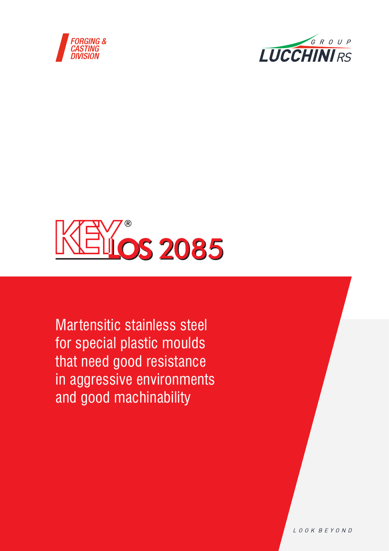





Martensitic stainless steel for special plastic moulds that need good resistance in aggressive environments and good machinability

LOOK BEYOND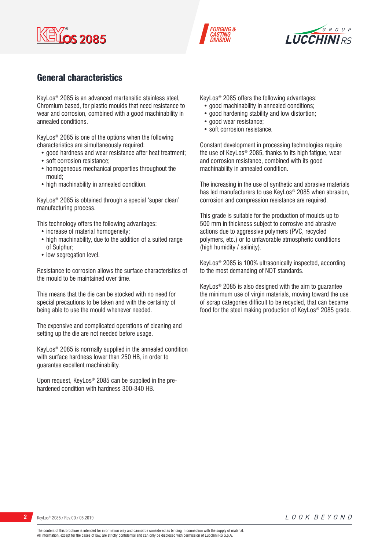





# General characteristics

KeyLos® 2085 is an advanced martensitic stainless steel, Chromium based, for plastic moulds that need resistance to wear and corrosion, combined with a good machinability in annealed conditions.

KeyLos® 2085 is one of the options when the following characteristics are simultaneously required:

- good hardness and wear resistance after heat treatment;
- soft corrosion resistance;
- homogeneous mechanical properties throughout the mould;
- high machinability in annealed condition.

KeyLos® 2085 is obtained through a special 'super clean' manufacturing process.

This technology offers the following advantages:

- increase of material homogeneity;
- high machinability, due to the addition of a suited range of Sulphur;
- low segregation level.

Resistance to corrosion allows the surface characteristics of the mould to be maintained over time.

This means that the die can be stocked with no need for special precautions to be taken and with the certainty of being able to use the mould whenever needed.

The expensive and complicated operations of cleaning and setting up the die are not needed before usage.

KeyLos® 2085 is normally supplied in the annealed condition with surface hardness lower than 250 HB, in order to guarantee excellent machinability.

Upon request, KeyLos® 2085 can be supplied in the prehardened condition with hardness 300-340 HB.

KeyLos® 2085 offers the following advantages:

- good machinability in annealed conditions;
- good hardening stability and low distortion;
- good wear resistance;
- soft corrosion resistance.

Constant development in processing technologies require the use of KeyLos® 2085, thanks to its high fatigue, wear and corrosion resistance, combined with its good machinability in annealed condition.

The increasing in the use of synthetic and abrasive materials has led manufacturers to use KeyLos® 2085 when abrasion, corrosion and compression resistance are required.

This grade is suitable for the production of moulds up to 500 mm in thickness subject to corrosive and abrasive actions due to aggressive polymers (PVC, recycled polymers, etc.) or to unfavorable atmospheric conditions (high humidity / salinity).

KeyLos® 2085 is 100% ultrasonically inspected, according to the most demanding of NDT standards.

KeyLos® 2085 is also designed with the aim to guarantee the minimum use of virgin materials, moving toward the use of scrap categories difficult to be recycled, that can became food for the steel making production of KeyLos® 2085 grade.

LOOK BEYOND

The content of this brochure is intended for information only and cannot be considered as binding in connection with the supply of material. All information, except for the cases of law, are strictly confidential and can only be disclosed with permission of Lucchini RS S.p.A.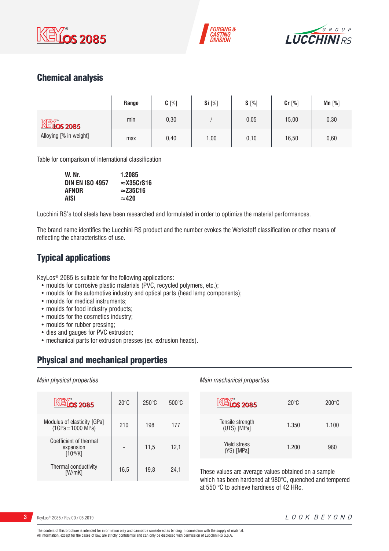





# Chemical analysis

|                                | Range | $C[\%]$ | Si [%] | $S[\%]$ | Cr [%] | Mn $[%]$ |
|--------------------------------|-------|---------|--------|---------|--------|----------|
| $M$ $\mathbb{N}$ $\infty$ 2085 | min   | 0,30    |        | 0,05    | 15,00  | 0,30     |
| Alloying [% in weight]         | max   | 0,40    | ,00    | 0,10    | 16,50  | 0,60     |

Table for comparison of international classification

| W. Nr.                 | 1.2085             |
|------------------------|--------------------|
| <b>DIN EN ISO 4957</b> | $\approx$ X35CrS16 |
| <b>AFNOR</b>           | $\approx$ Z35C16   |
| <b>AISI</b>            | $\approx$ 420      |

Lucchini RS's tool steels have been researched and formulated in order to optimize the material performances.

The brand name identifies the Lucchini RS product and the number evokes the Werkstoff classification or other means of reflecting the characteristics of use.

# Typical applications

KeyLos® 2085 is suitable for the following applications:

- moulds for corrosive plastic materials (PVC, recycled polymers, etc.);
- moulds for the automotive industry and optical parts (head lamp components);
- moulds for medical instruments;
- moulds for food industry products;
- moulds for the cosmetics industry;
- moulds for rubber pressing;
- dies and gauges for PVC extrusion;
- mechanical parts for extrusion presses (ex. extrusion heads).

## Physical and mechanical properties

### *Main physical properties*

| <b>KEYOS 2085</b>                                            | $20^{\circ}$ C | $250^{\circ}$ C | $500^{\circ}$ C |
|--------------------------------------------------------------|----------------|-----------------|-----------------|
| Modulus of elasticity [GPa]<br>(1GPa=1000 MPa)               | 210            | 198             | 177             |
| Coefficient of thermal<br>expansion<br>[10 <sup>-6</sup> /K] |                | 11,5            | 12,1            |
| Thermal conductivity<br>[W/mK]                               | 16,5           | 19.8            | 24,1            |

### *Main mechanical properties*

| <u><b>Elíos 2085</b></u>          | $20^{\circ}$ C | $200^{\circ}$ C |
|-----------------------------------|----------------|-----------------|
| Tensile strength<br>(UTS) [MPa]   | 1.350          | 1.100           |
| <b>Yield stress</b><br>(YS) [MPa] | 1.200          | 980             |

These values are average values obtained on a sample which has been hardened at 980°C, quenched and tempered at 550 °C to achieve hardness of 42 HRc.

**3** KeyLos® 2085 / Rev.00 / 05.2019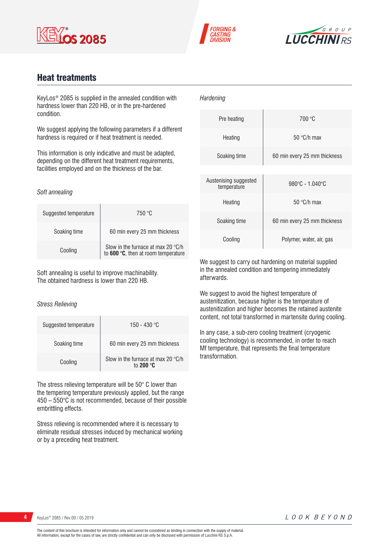





## Heat treatments

KeyLos® 2085 is supplied in the annealed condition with hardness lower than 220 HB, or in the pre-hardened condition.

We suggest applying the following parameters if a different hardness is required or if heat treatment is needed.

This information is only indicative and must be adapted, depending on the different heat treatment requirements, facilities employed and on the thickness of the bar.

### *Soft annealing*

| Suggested temperature | 750 °C                                                                             |
|-----------------------|------------------------------------------------------------------------------------|
| Soaking time          | 60 min every 25 mm thickness                                                       |
| Cooling               | Slow in the furnace at max 20 $\degree$ C/h<br>to 600 °C, then at room temperature |

Soft annealing is useful to improve machinability. The obtained hardness is lower than 220 HB.

### *Stress Relieving*

| Suggested temperature | 150 - 430 °C                                             |
|-----------------------|----------------------------------------------------------|
| Soaking time          | 60 min every 25 mm thickness                             |
| Cooling               | Slow in the furnace at max 20 °C/h<br>to 200 $\degree$ C |

The stress relieving temperature will be 50° C lower than the tempering temperature previously applied, but the range 450 – 550°C is not recommended, because of their possible embrittling effects.

Stress relieving is recommended where it is necessary to eliminate residual stresses induced by mechanical working or by a preceding heat treatment.

| Hardening                            |                                      |
|--------------------------------------|--------------------------------------|
| Pre heating                          | 700 °C                               |
| Heating                              | 50 $\degree$ C/h max                 |
| Soaking time                         | 60 min every 25 mm thickness         |
|                                      |                                      |
| Austenising suggested<br>temperature | $980^{\circ}$ C - 1.040 $^{\circ}$ C |
| Heating                              | 50 $\degree$ C/h max                 |
| Soaking time                         | 60 min every 25 mm thickness         |
| Cooling                              | Polymer, water, air, gas             |

We suggest to carry out hardening on material supplied in the annealed condition and tempering immediately afterwards.

We suggest to avoid the highest temperature of austenitization, because higher is the temperature of austenitization and higher becomes the retained austenite content, not total transformed in martensite during cooling.

In any case, a sub-zero cooling treatment (cryogenic cooling technology) is recommended, in order to reach Mf temperature, that represents the final temperature transformation.

**4** KeyLos® 2085 / Rev.00 / 05.2019

LOOK BEYOND

The content of this brochure is intended for information only and cannot be considered as binding in connection with the supply of material. All information, except for the cases of law, are strictly confidential and can only be disclosed with permission of Lucchini RS S.p.A.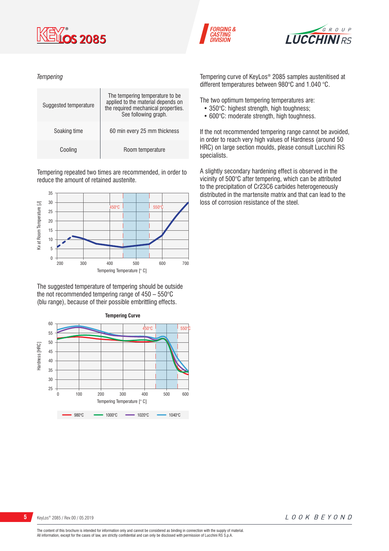





### *Tempering*



Tempering repeated two times are recommended, in order to reduce the amount of retained austenite.



The suggested temperature of tempering should be outside the not recommended tempering range of 450 – 550°C (blu range), because of their possible embrittling effects.



Tempering curve of KeyLos® 2085 samples austenitised at different temperatures between 980°C and 1.040 °C.

The two optimum tempering temperatures are:

- 350°C: highest strength, high toughness;
- 600°C: moderate strength, high toughness.

If the not recommended tempering range cannot be avoided, in order to reach very high values of Hardness (around 50 HRC) on large section moulds, please consult Lucchini RS specialists.

A slightly secondary hardening effect is observed in the vicinity of 500°C after tempering, which can be attributed to the precipitation of Cr23C6 carbides heterogeneously distributed in the martensite matrix and that can lead to the loss of corrosion resistance of the steel.

**5** KeyLos® 2085 / Rev.00 / 05.2019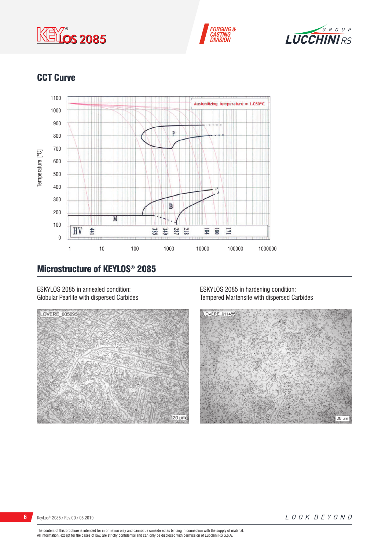





# CCT Curve



# Microstructure of KEYLOS® 2085

ESKYLOS 2085 in annealed condition: Globular Pearlite with dispersed Carbides



ESKYLOS 2085 in hardening condition: Tempered Martensite with dispersed Carbides



LOOK BEYOND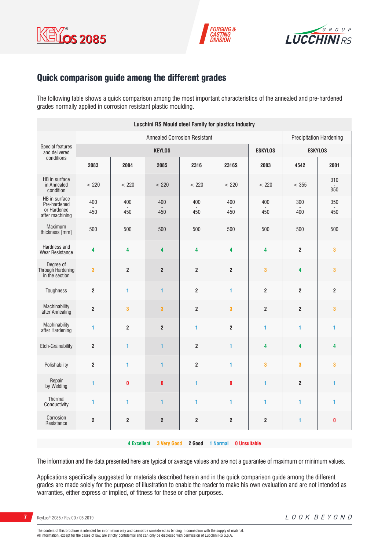





## Quick comparison guide among the different grades

The following table shows a quick comparison among the most important characteristics of the annealed and pre-hardened grades normally applied in corrosion resistant plastic moulding.

| <b>Lucchini RS Mould steel Family for plastics Industry</b>     |                                     |                  |                         |                         |                                |                  |                         |                         |
|-----------------------------------------------------------------|-------------------------------------|------------------|-------------------------|-------------------------|--------------------------------|------------------|-------------------------|-------------------------|
|                                                                 | <b>Annealed Corrosion Resistant</b> |                  |                         |                         | <b>Precipitation Hardening</b> |                  |                         |                         |
| Special features<br>and delivered                               |                                     | <b>KEYLOS</b>    |                         |                         | <b>ESKYLOS</b>                 | <b>ESKYLOS</b>   |                         |                         |
| conditions                                                      | 2083                                | 2084             | 2085                    | 2316                    | 2316S                          | 2083             | 4542                    | 2001                    |
| HB in surface<br>in Annealed<br>condition                       | < 220                               | < 220            | < 220                   | < 220                   | < 220                          | < 220            | < 355                   | 310<br>350              |
| HB in surface<br>Pre-hardened<br>or Hardened<br>after machining | 400<br>450                          | 400<br>450       | 400<br>450              | 400<br>450              | 400<br>450                     | 400<br>450       | 300<br>400              | 350<br>450              |
| Maximum<br>thickness [mm]                                       | 500                                 | 500              | 500                     | 500                     | 500                            | 500              | 500                     | 500                     |
| Hardness and<br><b>Wear Resistance</b>                          | 4                                   | 4                | 4                       | 4                       | 4                              | 4                | $\mathbf 2$             | 3                       |
| Degree of<br>Through Hardening<br>in the section                | 3                                   | $\overline{2}$   | $\overline{2}$          | $\overline{2}$          | $\overline{\mathbf{2}}$        | 3                | 4                       | $\overline{\mathbf{3}}$ |
| Toughness                                                       | $\mathbf 2$                         | 1                | $\mathbf{1}$            | $\overline{\mathbf{2}}$ | 1                              | $\bf 2$          | $\overline{2}$          | $\overline{2}$          |
| Machinability<br>after Annealing                                | $\mathbf 2$                         | 3                | $\overline{\mathbf{3}}$ | $\overline{2}$          | 3                              | $\boldsymbol{2}$ | $\mathbf 2$             | 3                       |
| Machinability<br>after Hardening                                | 1                                   | $\overline{2}$   | $\overline{2}$          | 1                       | $\overline{2}$                 | 1                | 1                       | 1                       |
| <b>Etch-Grainability</b>                                        | $\boldsymbol{2}$                    | $\mathbf{1}$     | $\mathbf{1}$            | $\mathbf{2}$            | 1                              | 4                | 4                       | 4                       |
| Polishability                                                   | $\overline{2}$                      | 1                | $\mathbf{1}$            | $\overline{2}$          | 1                              | 3                | 3                       | 3                       |
| Repair<br>by Welding                                            | $\mathbf{1}$                        | $\mathbf{0}$     | $\mathbf{0}$            | 1                       | $\bf{0}$                       | 1                | $\overline{\mathbf{2}}$ | 1                       |
| Thermal<br>Conductivity                                         | 1                                   | 1                | $\blacksquare$          | 1                       | 1                              | 1                | 1                       | 1                       |
| Corrosion<br>Resistance                                         | $\boldsymbol{2}$                    | $\boldsymbol{2}$ | $\overline{\mathbf{2}}$ | $\overline{\mathbf{2}}$ | $\overline{\mathbf{2}}$        | $\boldsymbol{2}$ | 1                       | $\pmb{0}$               |
|                                                                 |                                     |                  |                         |                         |                                |                  |                         |                         |

**4 Excellent** 3 Very Good 2 Good 1 Normal 0 Unsuitable

The information and the data presented here are typical or average values and are not a guarantee of maximum or minimum values.

Applications specifically suggested for materials described herein and in the quick comparison guide among the different grades are made solely for the purpose of illustration to enable the reader to make his own evaluation and are not intended as warranties, either express or implied, of fitness for these or other purposes.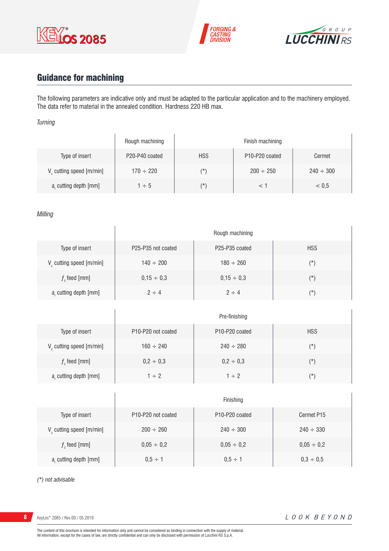





# Guidance for machining

The following parameters are indicative only and must be adapted to the particular application and to the machinery employed. The data refer to material in the annealed condition. Hardness 220 HB max.

### *Turning*

|                                      | Rough machining                         |            | Finish machining                        |                |
|--------------------------------------|-----------------------------------------|------------|-----------------------------------------|----------------|
| Type of insert                       | P <sub>20</sub> -P <sub>40</sub> coated | <b>HSS</b> | P <sub>10</sub> -P <sub>20</sub> coated | Cermet         |
| V <sub>c</sub> cutting speed [m/min] | $170 \div 220$                          | $(\star)$  | $200 \div 250$                          | $240 \div 300$ |
| a, cutting depth [mm]                | $1 \div 5$                              | (*)        |                                         | < 0.5          |

### *Milling*

|                                      |                    | Rough machining |                |
|--------------------------------------|--------------------|-----------------|----------------|
| Type of insert                       | P25-P35 not coated | P25-P35 coated  | <b>HSS</b>     |
| $V_c$ cutting speed [m/min]          | $140 \div 200$     | $180 \div 260$  | $(\star)$      |
| $fz$ feed [mm]                       | $0,15 \div 0,3$    | $0,15 \div 0,3$ | $(\star)$      |
| a <sub>r</sub> cutting depth [mm]    | $2 \div 4$         | $2 \div 4$      | $(\star)$      |
|                                      |                    |                 |                |
|                                      |                    | Pre-finishing   |                |
| Type of insert                       | P10-P20 not coated | P10-P20 coated  | <b>HSS</b>     |
| $V_c$ cutting speed [m/min]          | $160 \div 240$     | $240 \div 280$  | $(*)$          |
| $fz$ feed [mm]                       | $0,2 \div 0,3$     | $0,2 \div 0,3$  | $(\star)$      |
| a, cutting depth [mm]                | $1 \div 2$         | $1 \div 2$      | $(*)$          |
|                                      |                    |                 |                |
|                                      |                    | Finishing       |                |
| Type of insert                       | P10-P20 not coated | P10-P20 coated  | Cermet P15     |
| V <sub>c</sub> cutting speed [m/min] | $200 \div 260$     | $240 \div 300$  | $240 \div 330$ |

feed [mm]  $0.05 \div 0.2$   $0.05 \div 0.2$   $0.05 \div 0.2$   $0.05 \div 0.2$ 

ar cutting depth [mm] 0,5 ÷ 1 0,5 ÷ 1 0,3 ÷ 0,5

*(\*) not advisable*

**8** KeyLos® 2085 / Rev.00 / 05.2019

 $f$ , feed [mm]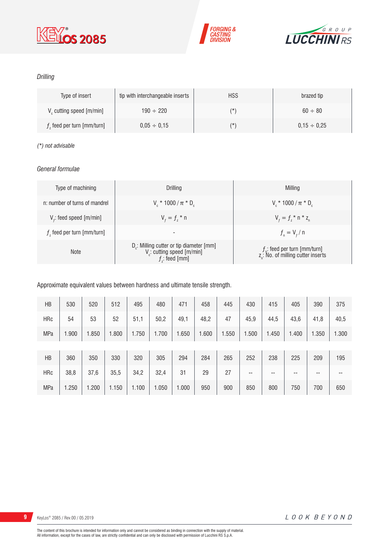





## *Drilling*

| Type of insert               | tip with interchangeable inserts | <b>HSS</b> | brazed tip       |
|------------------------------|----------------------------------|------------|------------------|
| V cutting speed [m/min]      | $190 \div 220$                   | $(\star)$  | $60 \div 80$     |
| $fz$ feed per turn [mm/turn] | $0.05 \div 0.15$                 | $(\star)$  | $0.15 \div 0.25$ |

### *(\*) not advisable*

### *General formulae*

| Type of machining             | Drilling                                                                                                          | Milling                                                                             |
|-------------------------------|-------------------------------------------------------------------------------------------------------------------|-------------------------------------------------------------------------------------|
| n: number of turns of mandrel | $V_r * 1000 / \pi * D_r$                                                                                          | $V_r * 1000 / \pi * D_r$                                                            |
| $Vf$ : feed speed [m/min]     | $V_{f} = f_{7}$ * n                                                                                               | $V_{f} = f_{i} * n * z_{n}$                                                         |
| $fz$ feed per turn [mm/turn]  | $\overline{\phantom{a}}$                                                                                          | $f_{n} = V_{f} / n$                                                                 |
| <b>Note</b>                   | D <sub>r</sub> : Milling cutter or tip diameter [mm]<br>V <sub>c</sub> : cutting speed [m/min]<br>$f$ ; feed [mm] | $f_{n}$ : feed per turn [mm/turn]<br>z <sub>n</sub> : No. of milling cutter inserts |

## Approximate equivalent values between hardness and ultimate tensile strength.

| HB         | 530   | 520   | 512   | 495   | 480   | 471   | 458   | 445   | 430   | 415   | 405   | 390   | 375   |
|------------|-------|-------|-------|-------|-------|-------|-------|-------|-------|-------|-------|-------|-------|
| <b>HRc</b> | 54    | 53    | 52    | 51,1  | 50,2  | 49,1  | 48,2  | 47    | 45,9  | 44,5  | 43,6  | 41,8  | 40,5  |
| <b>MPa</b> | 1.900 | 1.850 | 1.800 | 1.750 | 1.700 | 1.650 | 1.600 | 1.550 | 1.500 | 1.450 | 1.400 | 1.350 | 1.300 |
|            |       |       |       |       |       |       |       |       |       |       |       |       |       |
| HB         | 360   | 350   | 330   | 320   | 305   | 294   | 284   | 265   | 252   | 238   | 225   | 209   | 195   |
| <b>HRc</b> | 38,8  | 37,6  | 35,5  | 34,2  | 32,4  | 31    | 29    | 27    | --    | --    | --    | --    | --    |
| <b>MPa</b> | 1.250 | 1.200 | 1.150 | 1.100 | 1.050 | 1.000 | 950   | 900   | 850   | 800   | 750   | 700   | 650   |